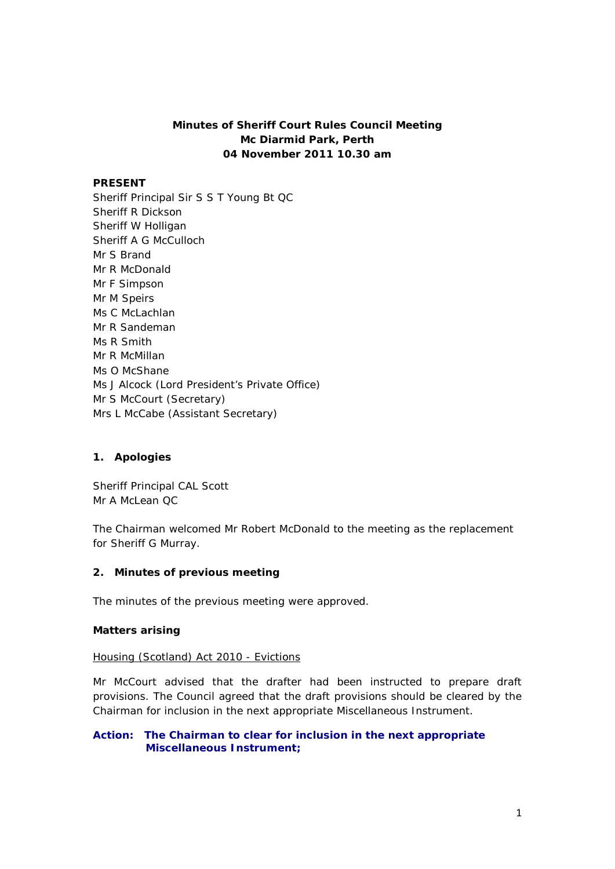# **Minutes of Sheriff Court Rules Council Meeting Mc Diarmid Park, Perth 04 November 2011 10.30 am**

#### **PRESENT**

Sheriff Principal Sir S S T Young Bt QC Sheriff R Dickson Sheriff W Holligan Sheriff A G McCulloch Mr S Brand Mr R McDonald Mr F Simpson Mr M Speirs Ms C McLachlan Mr R Sandeman Ms R Smith Mr R McMillan Ms O McShane Ms J Alcock (Lord President's Private Office) Mr S McCourt (Secretary) Mrs L McCabe (Assistant Secretary)

### **1. Apologies**

Sheriff Principal CAL Scott Mr A McLean QC

The Chairman welcomed Mr Robert McDonald to the meeting as the replacement for Sheriff G Murray.

#### **2. Minutes of previous meeting**

The minutes of the previous meeting were approved.

#### **Matters arising**

#### Housing (Scotland) Act 2010 - Evictions

Mr McCourt advised that the drafter had been instructed to prepare draft provisions. The Council agreed that the draft provisions should be cleared by the Chairman for inclusion in the next appropriate Miscellaneous Instrument.

#### **Action: The Chairman to clear for inclusion in the next appropriate Miscellaneous Instrument;**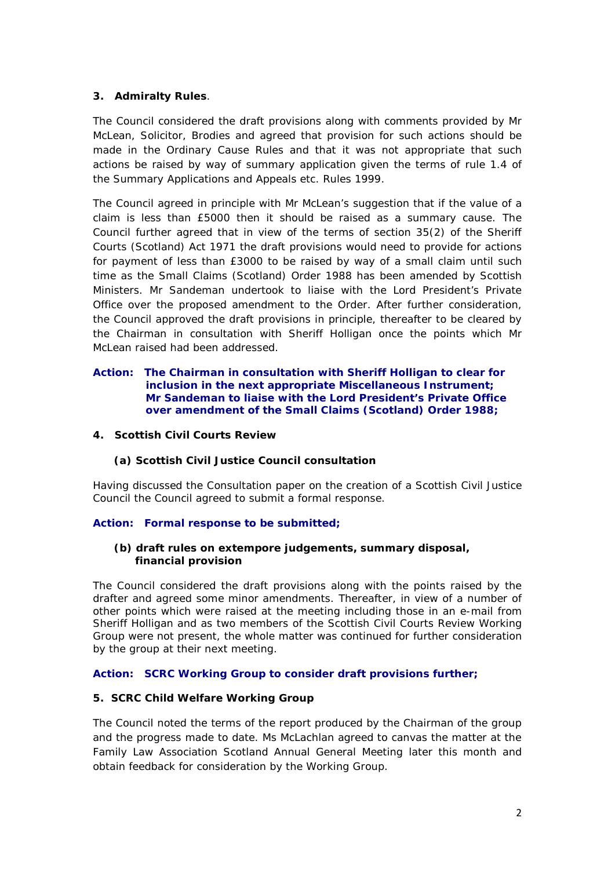## **3. Admiralty Rules**.

The Council considered the draft provisions along with comments provided by Mr McLean, Solicitor, Brodies and agreed that provision for such actions should be made in the Ordinary Cause Rules and that it was not appropriate that such actions be raised by way of summary application given the terms of rule 1.4 of the Summary Applications and Appeals etc. Rules 1999.

The Council agreed in principle with Mr McLean's suggestion that if the value of a claim is less than £5000 then it should be raised as a summary cause. The Council further agreed that in view of the terms of section 35(2) of the Sheriff Courts (Scotland) Act 1971 the draft provisions would need to provide for actions for payment of less than £3000 to be raised by way of a small claim until such time as the Small Claims (Scotland) Order 1988 has been amended by Scottish Ministers. Mr Sandeman undertook to liaise with the Lord President's Private Office over the proposed amendment to the Order. After further consideration, the Council approved the draft provisions in principle, thereafter to be cleared by the Chairman in consultation with Sheriff Holligan once the points which Mr McLean raised had been addressed.

### **Action: The Chairman in consultation with Sheriff Holligan to clear for inclusion in the next appropriate Miscellaneous Instrument; Mr Sandeman to liaise with the Lord President's Private Office over amendment of the Small Claims (Scotland) Order 1988;**

### **4. Scottish Civil Courts Review**

### **(a) Scottish Civil Justice Council consultation**

Having discussed the Consultation paper on the creation of a Scottish Civil Justice Council the Council agreed to submit a formal response.

# **Action: Formal response to be submitted;**

### **(b) draft rules on extempore judgements, summary disposal, financial provision**

The Council considered the draft provisions along with the points raised by the drafter and agreed some minor amendments. Thereafter, in view of a number of other points which were raised at the meeting including those in an e-mail from Sheriff Holligan and as two members of the Scottish Civil Courts Review Working Group were not present, the whole matter was continued for further consideration by the group at their next meeting.

### **Action: SCRC Working Group to consider draft provisions further;**

### **5. SCRC Child Welfare Working Group**

The Council noted the terms of the report produced by the Chairman of the group and the progress made to date. Ms McLachlan agreed to canvas the matter at the Family Law Association Scotland Annual General Meeting later this month and obtain feedback for consideration by the Working Group.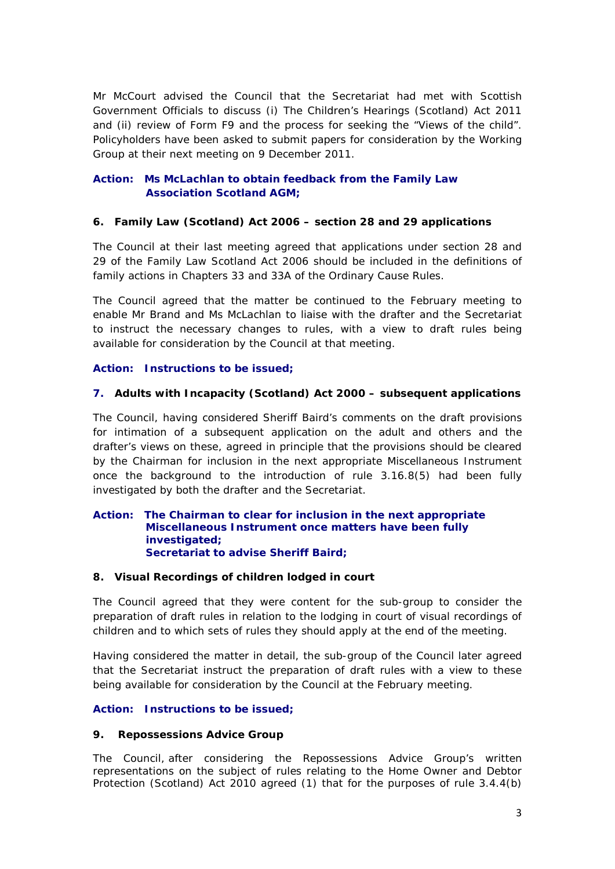Mr McCourt advised the Council that the Secretariat had met with Scottish Government Officials to discuss (i) The Children's Hearings (Scotland) Act 2011 and (ii) review of Form F9 and the process for seeking the "Views of the child". Policyholders have been asked to submit papers for consideration by the Working Group at their next meeting on 9 December 2011.

# **Action: Ms McLachlan to obtain feedback from the Family Law Association Scotland AGM;**

## **6. Family Law (Scotland) Act 2006 – section 28 and 29 applications**

The Council at their last meeting agreed that applications under section 28 and 29 of the Family Law Scotland Act 2006 should be included in the definitions of family actions in Chapters 33 and 33A of the Ordinary Cause Rules.

The Council agreed that the matter be continued to the February meeting to enable Mr Brand and Ms McLachlan to liaise with the drafter and the Secretariat to instruct the necessary changes to rules, with a view to draft rules being available for consideration by the Council at that meeting.

## **Action: Instructions to be issued;**

## **7. Adults with Incapacity (Scotland) Act 2000 – subsequent applications**

The Council, having considered Sheriff Baird's comments on the draft provisions for intimation of a subsequent application on the adult and others and the drafter's views on these, agreed in principle that the provisions should be cleared by the Chairman for inclusion in the next appropriate Miscellaneous Instrument once the background to the introduction of rule 3.16.8(5) had been fully investigated by both the drafter and the Secretariat.

#### **Action: The Chairman to clear for inclusion in the next appropriate Miscellaneous Instrument once matters have been fully investigated; Secretariat to advise Sheriff Baird;**

### **8. Visual Recordings of children lodged in court**

The Council agreed that they were content for the sub-group to consider the preparation of draft rules in relation to the lodging in court of visual recordings of children and to which sets of rules they should apply at the end of the meeting.

Having considered the matter in detail, the sub-group of the Council later agreed that the Secretariat instruct the preparation of draft rules with a view to these being available for consideration by the Council at the February meeting.

### **Action: Instructions to be issued;**

### **9. Repossessions Advice Group**

The Council, after considering the Repossessions Advice Group's written representations on the subject of rules relating to the Home Owner and Debtor Protection (Scotland) Act 2010 agreed (1) that for the purposes of rule 3.4.4(b)